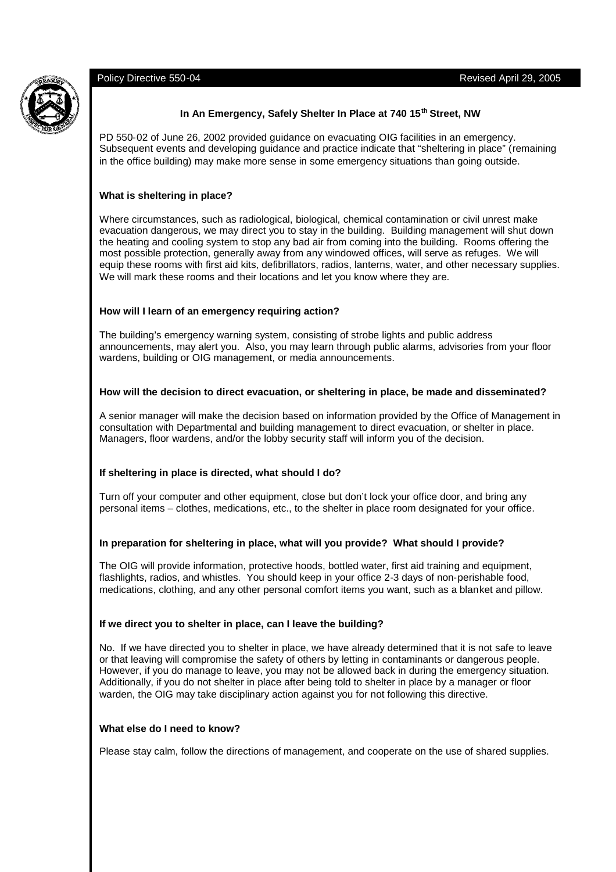

# **In An Emergency, Safely Shelter In Place at 740 15th Street, NW**

PD 550-02 of June 26, 2002 provided guidance on evacuating OIG facilities in an emergency. Subsequent events and developing guidance and practice indicate that "sheltering in place" (remaining in the office building) may make more sense in some emergency situations than going outside.

# **What is sheltering in place?**

Where circumstances, such as radiological, biological, chemical contamination or civil unrest make evacuation dangerous, we may direct you to stay in the building. Building management will shut down the heating and cooling system to stop any bad air from coming into the building. Rooms offering the most possible protection, generally away from any windowed offices, will serve as refuges. We will equip these rooms with first aid kits, defibrillators, radios, lanterns, water, and other necessary supplies. We will mark these rooms and their locations and let you know where they are.

#### **How will I learn of an emergency requiring action?**

The building's emergency warning system, consisting of strobe lights and public address announcements, may alert you. Also, you may learn through public alarms, advisories from your floor wardens, building or OIG management, or media announcements.

## **How will the decision to direct evacuation, or sheltering in place, be made and disseminated?**

A senior manager will make the decision based on information provided by the Office of Management in consultation with Departmental and building management to direct evacuation, or shelter in place. Managers, floor wardens, and/or the lobby security staff will inform you of the decision.

# **If sheltering in place is directed, what should I do?**

Turn off your computer and other equipment, close but don't lock your office door, and bring any personal items – clothes, medications, etc., to the shelter in place room designated for your office.

#### **In preparation for sheltering in place, what will you provide? What should I provide?**

The OIG will provide information, protective hoods, bottled water, first aid training and equipment, flashlights, radios, and whistles. You should keep in your office 2-3 days of non-perishable food, medications, clothing, and any other personal comfort items you want, such as a blanket and pillow.

#### **If we direct you to shelter in place, can I leave the building?**

No. If we have directed you to shelter in place, we have already determined that it is not safe to leave or that leaving will compromise the safety of others by letting in contaminants or dangerous people. However, if you do manage to leave, you may not be allowed back in during the emergency situation. Additionally, if you do not shelter in place after being told to shelter in place by a manager or floor warden, the OIG may take disciplinary action against you for not following this directive.

#### **What else do I need to know?**

Please stay calm, follow the directions of management, and cooperate on the use of shared supplies.